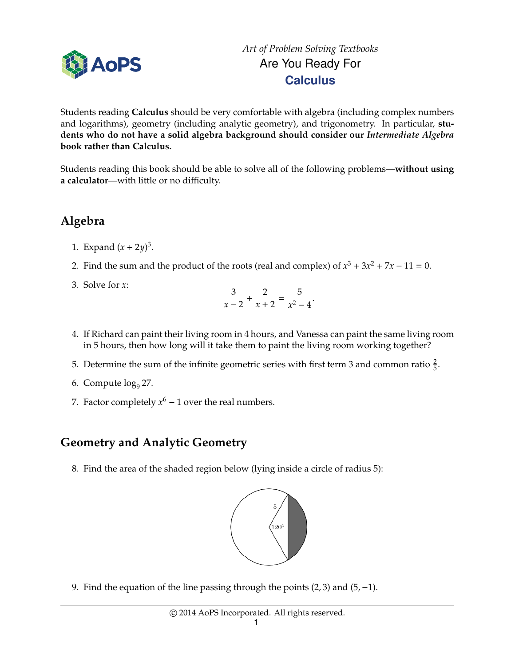

Students reading **Calculus** should be very comfortable with algebra (including complex numbers and logarithms), geometry (including analytic geometry), and trigonometry. In particular, **students who do not have a solid algebra background should consider our** *Intermediate Algebra* **book rather than Calculus.**

Students reading this book should be able to solve all of the following problems—**without using a calculator**—with little or no difficulty.

## **Algebra**

- 1. Expand  $(x + 2y)^3$ .
- 2. Find the sum and the product of the roots (real and complex) of  $x^3 + 3x^2 + 7x 11 = 0$ .
- 3. Solve for *x*:

$$
\frac{3}{x-2} + \frac{2}{x+2} = \frac{5}{x^2-4}.
$$

- 4. If Richard can paint their living room in 4 hours, and Vanessa can paint the same living room in 5 hours, then how long will it take them to paint the living room working together?
- 5. Determine the sum of the infinite geometric series with first term 3 and common ratio  $\frac{2}{5}$ .
- 6. Compute  $log_9 27$ .
- 7. Factor completely  $x^6 1$  over the real numbers.

## **Geometry and Analytic Geometry**

8. Find the area of the shaded region below (lying inside a circle of radius 5):



9. Find the equation of the line passing through the points (2, 3) and (5,−1).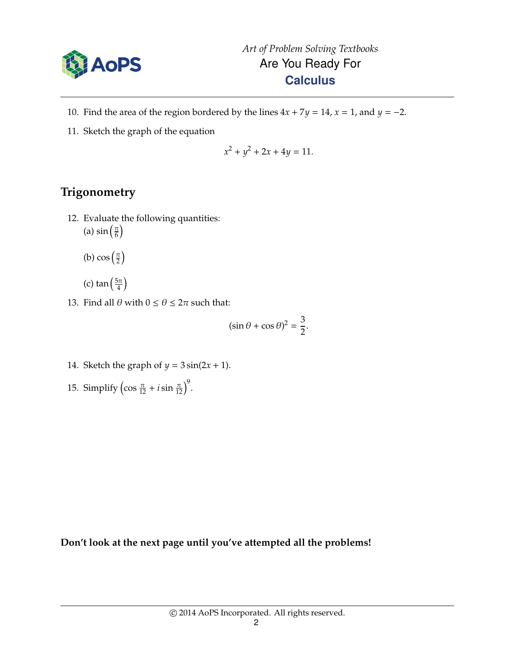

- 10. Find the area of the region bordered by the lines  $4x + 7y = 14$ ,  $x = 1$ , and  $y = -2$ .
- 11. Sketch the graph of the equation

$$
x^2 + y^2 + 2x + 4y = 11.
$$

## **Trigonometry**

- 12. Evaluate the following quantities: (a)  $\sin\left(\frac{\pi}{6}\right)$  $\frac{\pi}{6}$ 
	- (b)  $\cos\left(\frac{\pi}{2}\right)$  $\frac{\pi}{2}$
	- (c) tan  $\left(\frac{5\pi}{4}\right)$  $\frac{5\pi}{4}$
- 13. Find all  $\theta$  with  $0 \le \theta \le 2\pi$  such that:

$$
(\sin \theta + \cos \theta)^2 = \frac{3}{2}.
$$

- 14. Sketch the graph of  $y = 3 \sin(2x + 1)$ .
- 15. Simplify  $\left(\cos\frac{\pi}{12} + i\sin\frac{\pi}{12}\right)^9$ .

**Don't look at the next page until you've attempted all the problems!**